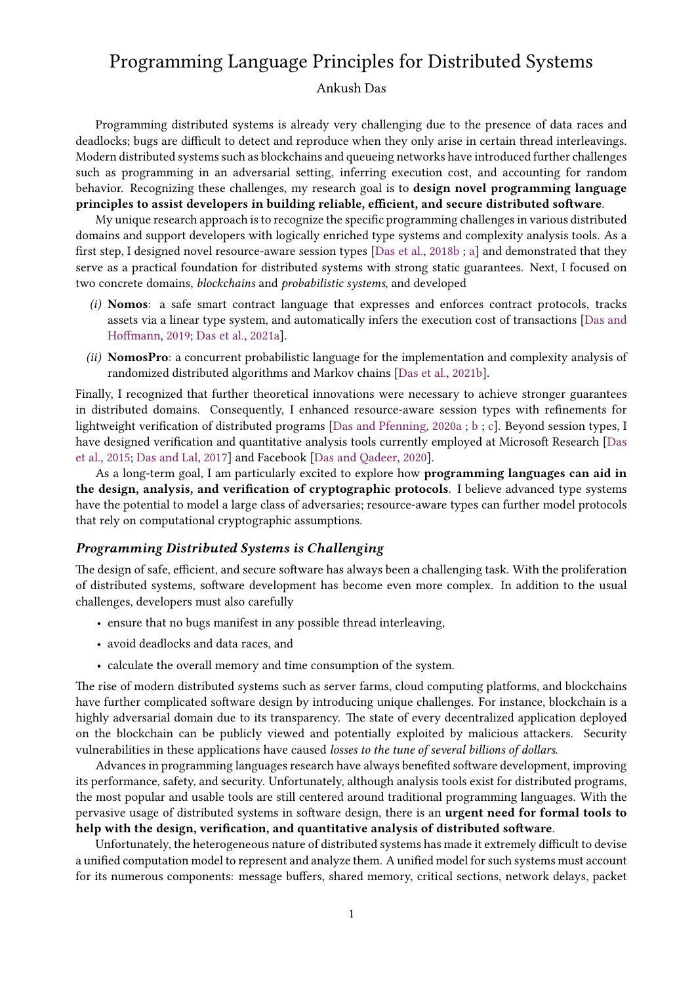# Programming Language Principles for Distributed Systems

### Ankush Das

Programming distributed systems is already very challenging due to the presence of data races and deadlocks; bugs are difficult to detect and reproduce when they only arise in certain thread interleavings. Modern distributed systems such as blockchains and queueing networks have introduced further challenges such as programming in an adversarial setting, inferring execution cost, and accounting for random behavior. Recognizing these challenges, my research goal is to design novel programming language principles to assist developers in building reliable, efficient, and secure distributed software.

My unique research approach is to recognize the specific programming challenges in various distributed domains and support developers with logically enriched type systems and complexity analysis tools. As a first step, I designed novel resource-aware session types  $[Das et al., 2018b ; a]$  $[Das et al., 2018b ; a]$  $[Das et al., 2018b ; a]$  $[Das et al., 2018b ; a]$  $[Das et al., 2018b ; a]$  and demonstrated that they serve as a practical foundation for distributed systems with strong static guarantees. Next, I focused on two concrete domains, blockchains and probabilistic systems, and developed

- (i) Nomos: a safe smart contract language that expresses and enforces contract protocols, tracks assets via a linear type system, and automatically infers the execution cost of transactions [\[Das and](#page-3-0) Hoffmann, [2019;](#page-3-0) [Das et al.,](#page-4-2) [2021a\]](#page-4-2).
- (ii) NomosPro: a concurrent probabilistic language for the implementation and complexity analysis of randomized distributed algorithms and Markov chains [\[Das et al.,](#page-4-3) [2021b\]](#page-4-3).

Finally, I recognized that further theoretical innovations were necessary to achieve stronger guarantees in distributed domains. Consequently, I enhanced resource-aware session types with refinements for lightweight verification of distributed programs [\[Das and Pfenning,](#page-3-1) [2020a](#page-3-1) ; [b](#page-3-2) ; [c\]](#page-3-3). Beyond session types, I have designed verification and quantitative analysis tools currently employed at Microsoft Research [\[Das](#page-3-4) [et al.,](#page-3-4) [2015;](#page-3-4) [Das and Lal,](#page-3-5) [2017\]](#page-3-5) and Facebook [\[Das and Qadeer,](#page-3-6) [2020\]](#page-3-6).

As a long-term goal, I am particularly excited to explore how programming languages can aid in the design, analysis, and verification of cryptographic protocols. I believe advanced type systems have the potential to model a large class of adversaries; resource-aware types can further model protocols that rely on computational cryptographic assumptions.

## Programming Distributed Systems is Challenging

The design of safe, efficient, and secure software has always been a challenging task. With the proliferation of distributed systems, software development has become even more complex. In addition to the usual challenges, developers must also carefully

- ensure that no bugs manifest in any possible thread interleaving,
- avoid deadlocks and data races, and
- calculate the overall memory and time consumption of the system.

The rise of modern distributed systems such as server farms, cloud computing platforms, and blockchains have further complicated software design by introducing unique challenges. For instance, blockchain is a highly adversarial domain due to its transparency. The state of every decentralized application deployed on the blockchain can be publicly viewed and potentially exploited by malicious attackers. Security vulnerabilities in these applications have caused losses to the tune of several billions of dollars.

Advances in programming languages research have always benefited software development, improving its performance, safety, and security. Unfortunately, although analysis tools exist for distributed programs, the most popular and usable tools are still centered around traditional programming languages. With the pervasive usage of distributed systems in software design, there is an **urgent need for formal tools to** help with the design, verification, and quantitative analysis of distributed software.

Unfortunately, the heterogeneous nature of distributed systems has made it extremely difficult to devise a unified computation model to represent and analyze them. A unified model for such systems must account for its numerous components: message buffers, shared memory, critical sections, network delays, packet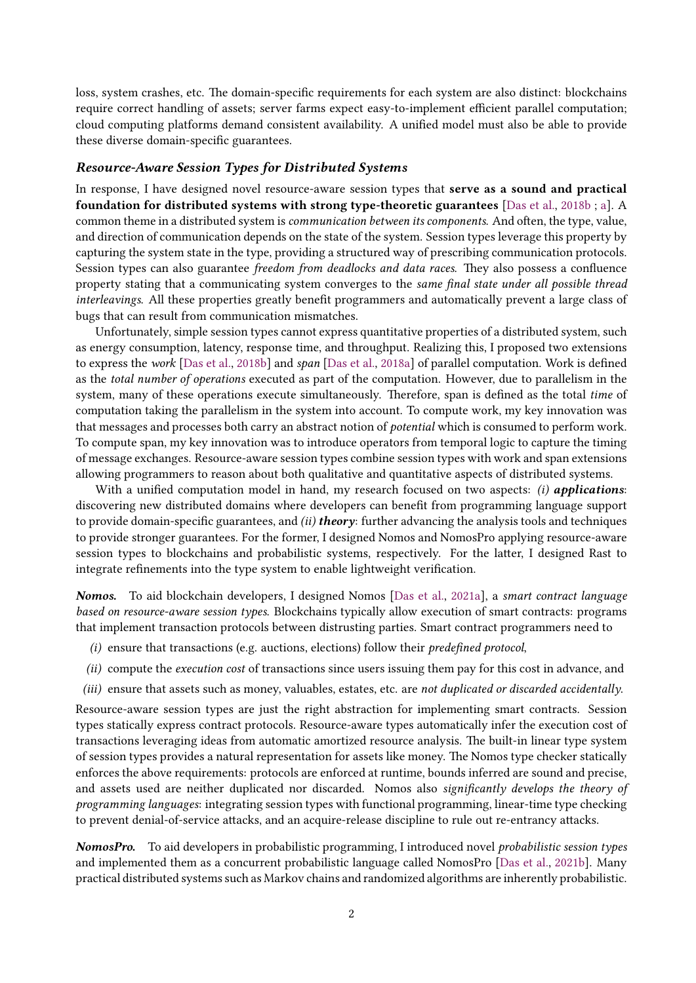loss, system crashes, etc. The domain-specific requirements for each system are also distinct: blockchains require correct handling of assets; server farms expect easy-to-implement efficient parallel computation; cloud computing platforms demand consistent availability. A unified model must also be able to provide these diverse domain-specific guarantees.

## Resource-Aware Session Types for Distributed Systems

In response, I have designed novel resource-aware session types that serve as a sound and practical foundation for distributed systems with strong type-theoretic guarantees [\[Das et al.,](#page-4-0) [2018b](#page-4-0) ; [a\]](#page-4-1). A common theme in a distributed system is communication between its components. And often, the type, value, and direction of communication depends on the state of the system. Session types leverage this property by capturing the system state in the type, providing a structured way of prescribing communication protocols. Session types can also guarantee freedom from deadlocks and data races. They also possess a confluence property stating that a communicating system converges to the same final state under all possible thread interleavings. All these properties greatly benefit programmers and automatically prevent a large class of bugs that can result from communication mismatches.

Unfortunately, simple session types cannot express quantitative properties of a distributed system, such as energy consumption, latency, response time, and throughput. Realizing this, I proposed two extensions to express the work [\[Das et al.,](#page-4-1) [2018b\]](#page-4-0) and span [Das et al., [2018a\]](#page-4-1) of parallel computation. Work is defined as the total number of operations executed as part of the computation. However, due to parallelism in the system, many of these operations execute simultaneously. Therefore, span is defined as the total time of computation taking the parallelism in the system into account. To compute work, my key innovation was that messages and processes both carry an abstract notion of potential which is consumed to perform work. To compute span, my key innovation was to introduce operators from temporal logic to capture the timing of message exchanges. Resource-aware session types combine session types with work and span extensions allowing programmers to reason about both qualitative and quantitative aspects of distributed systems.

With a unified computation model in hand, my research focused on two aspects:  $(i)$  applications: discovering new distributed domains where developers can benefit from programming language support to provide domain-specific guarantees, and  $(ii)$  theory: further advancing the analysis tools and techniques to provide stronger guarantees. For the former, I designed Nomos and NomosPro applying resource-aware session types to blockchains and probabilistic systems, respectively. For the latter, I designed Rast to integrate refinements into the type system to enable lightweight verification.

Nomos. To aid blockchain developers, I designed Nomos [\[Das et al.,](#page-4-2) [2021a\]](#page-4-2), a smart contract language based on resource-aware session types. Blockchains typically allow execution of smart contracts: programs that implement transaction protocols between distrusting parties. Smart contract programmers need to

- $(i)$  ensure that transactions (e.g. auctions, elections) follow their predefined protocol,
- (ii) compute the execution cost of transactions since users issuing them pay for this cost in advance, and
- (iii) ensure that assets such as money, valuables, estates, etc. are not duplicated or discarded accidentally.

Resource-aware session types are just the right abstraction for implementing smart contracts. Session types statically express contract protocols. Resource-aware types automatically infer the execution cost of transactions leveraging ideas from automatic amortized resource analysis. The built-in linear type system of session types provides a natural representation for assets like money. The Nomos type checker statically enforces the above requirements: protocols are enforced at runtime, bounds inferred are sound and precise, and assets used are neither duplicated nor discarded. Nomos also significantly develops the theory of programming languages: integrating session types with functional programming, linear-time type checking to prevent denial-of-service attacks, and an acquire-release discipline to rule out re-entrancy attacks.

NomosPro. To aid developers in probabilistic programming, I introduced novel probabilistic session types and implemented them as a concurrent probabilistic language called NomosPro [\[Das et al.,](#page-4-3) [2021b\]](#page-4-3). Many practical distributed systems such as Markov chains and randomized algorithms are inherently probabilistic.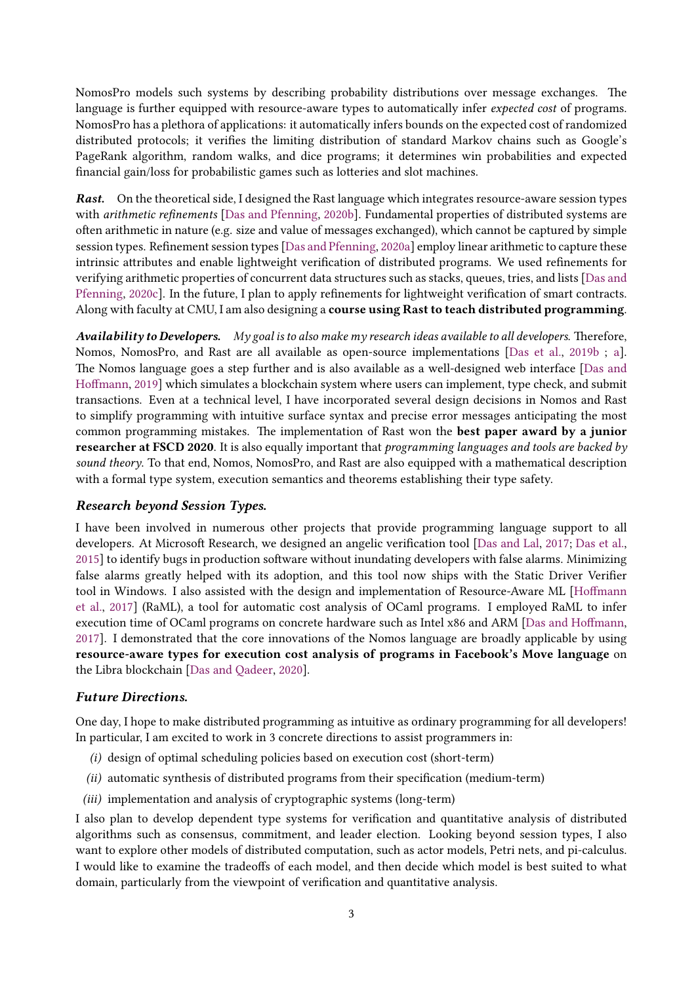NomosPro models such systems by describing probability distributions over message exchanges. The language is further equipped with resource-aware types to automatically infer expected cost of programs. NomosPro has a plethora of applications: it automatically infers bounds on the expected cost of randomized distributed protocols; it verifies the limiting distribution of standard Markov chains such as Google's PageRank algorithm, random walks, and dice programs; it determines win probabilities and expected financial gain/loss for probabilistic games such as lotteries and slot machines.

**Rast.** On the theoretical side, I designed the Rast language which integrates resource-aware session types with arithmetic refinements [\[Das and Pfenning,](#page-3-2) [2020b\]](#page-3-2). Fundamental properties of distributed systems are often arithmetic in nature (e.g. size and value of messages exchanged), which cannot be captured by simple session types. Refinement session types [\[Das and Pfenning,](#page-3-1) [2020a\]](#page-3-1) employ linear arithmetic to capture these intrinsic attributes and enable lightweight verification of distributed programs. We used refinements for verifying arithmetic properties of concurrent data structures such as stacks, queues, tries, and lists [\[Das and](#page-3-3) [Pfenning,](#page-3-3) [2020c\]](#page-3-3). In the future, I plan to apply refinements for lightweight verification of smart contracts. Along with faculty at CMU, I am also designing a course using Rast to teach distributed programming.

Availability to Developers. My goal is to also make my research ideas available to all developers. Therefore, Nomos, NomosPro, and Rast are all available as open-source implementations [\[Das et al.,](#page-4-4) [2019b](#page-4-4) ; [a\]](#page-4-5). e Nomos language goes a step further and is also available as a well-designed web interface [\[Das and](#page-3-0) Hoffmann, [2019\]](#page-3-0) which simulates a blockchain system where users can implement, type check, and submit transactions. Even at a technical level, I have incorporated several design decisions in Nomos and Rast to simplify programming with intuitive surface syntax and precise error messages anticipating the most common programming mistakes. The implementation of Rast won the best paper award by a junior researcher at FSCD 2020. It is also equally important that programming languages and tools are backed by sound theory. To that end, Nomos, NomosPro, and Rast are also equipped with a mathematical description with a formal type system, execution semantics and theorems establishing their type safety.

## Research beyond Session Types.

I have been involved in numerous other projects that provide programming language support to all developers. At Microsoft Research, we designed an angelic verification tool [\[Das and Lal,](#page-3-5) [2017;](#page-3-5) [Das et al.,](#page-3-4) [2015\]](#page-3-4) to identify bugs in production software without inundating developers with false alarms. Minimizing false alarms greatly helped with its adoption, and this tool now ships with the Static Driver Verifier tool in Windows. I also assisted with the design and implementation of Resource-Aware ML [Hoffmann [et al.,](#page-4-6) [2017\]](#page-4-6) (RaML), a tool for automatic cost analysis of OCaml programs. I employed RaML to infer execution time of OCaml programs on concrete hardware such as Intel x86 and ARM [Das and Hoffmann, [2017\]](#page-3-7). I demonstrated that the core innovations of the Nomos language are broadly applicable by using resource-aware types for execution cost analysis of programs in Facebook's Move language on the Libra blockchain [\[Das and Qadeer,](#page-3-6) [2020\]](#page-3-6).

### Future Directions.

One day, I hope to make distributed programming as intuitive as ordinary programming for all developers! In particular, I am excited to work in 3 concrete directions to assist programmers in:

- (i) design of optimal scheduling policies based on execution cost (short-term)
- $(ii)$  automatic synthesis of distributed programs from their specification (medium-term)
- (*iii*) implementation and analysis of cryptographic systems (long-term)

I also plan to develop dependent type systems for verication and quantitative analysis of distributed algorithms such as consensus, commitment, and leader election. Looking beyond session types, I also want to explore other models of distributed computation, such as actor models, Petri nets, and pi-calculus. I would like to examine the tradeoffs of each model, and then decide which model is best suited to what domain, particularly from the viewpoint of verification and quantitative analysis.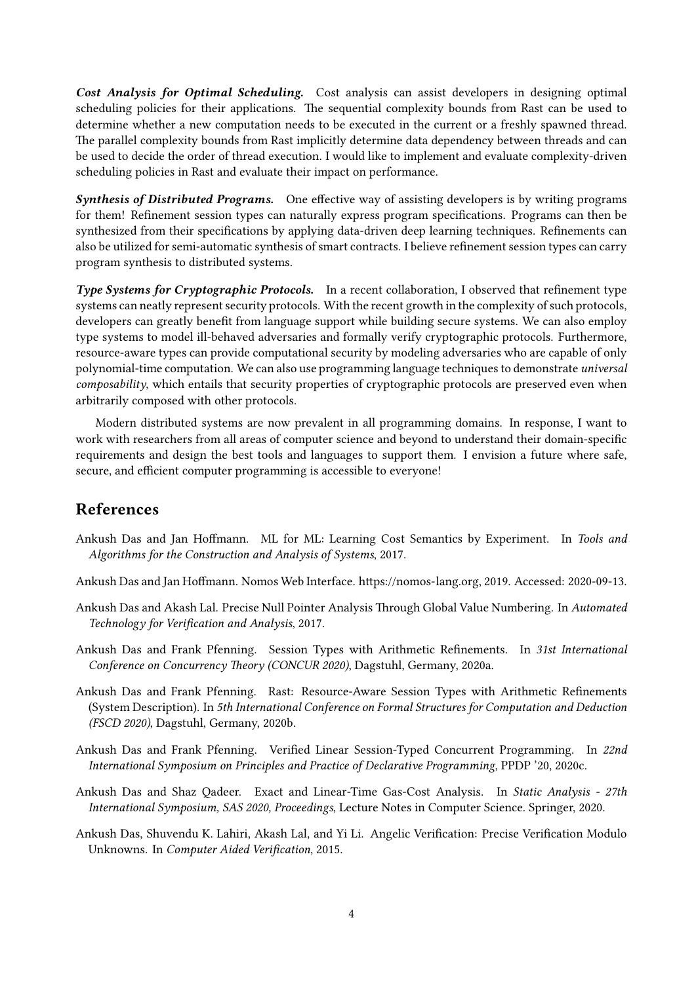Cost Analysis for Optimal Scheduling. Cost analysis can assist developers in designing optimal scheduling policies for their applications. The sequential complexity bounds from Rast can be used to determine whether a new computation needs to be executed in the current or a freshly spawned thread. The parallel complexity bounds from Rast implicitly determine data dependency between threads and can be used to decide the order of thread execution. I would like to implement and evaluate complexity-driven scheduling policies in Rast and evaluate their impact on performance.

**Synthesis of Distributed Programs.** One effective way of assisting developers is by writing programs for them! Refinement session types can naturally express program specifications. Programs can then be synthesized from their specifications by applying data-driven deep learning techniques. Refinements can also be utilized for semi-automatic synthesis of smart contracts. I believe refinement session types can carry program synthesis to distributed systems.

Type Systems for Cryptographic Protocols. In a recent collaboration, I observed that refinement type systems can neatly represent security protocols. With the recent growth in the complexity of such protocols, developers can greatly benefit from language support while building secure systems. We can also employ type systems to model ill-behaved adversaries and formally verify cryptographic protocols. Furthermore, resource-aware types can provide computational security by modeling adversaries who are capable of only polynomial-time computation. We can also use programming language techniques to demonstrate universal composability, which entails that security properties of cryptographic protocols are preserved even when arbitrarily composed with other protocols.

Modern distributed systems are now prevalent in all programming domains. In response, I want to work with researchers from all areas of computer science and beyond to understand their domain-specific requirements and design the best tools and languages to support them. I envision a future where safe, secure, and efficient computer programming is accessible to everyone!

## References

- <span id="page-3-7"></span>Ankush Das and Jan Hoffmann. ML for ML: Learning Cost Semantics by Experiment. In Tools and Algorithms for the Construction and Analysis of Systems, 2017.
- <span id="page-3-0"></span>Ankush Das and Jan Hoffmann. Nomos Web Interface. https://nomos-lang.org, 2019. Accessed: 2020-09-13.
- <span id="page-3-5"></span>Ankush Das and Akash Lal. Precise Null Pointer Analysis Through Global Value Numbering. In Automated Technology for Verification and Analysis, 2017.
- <span id="page-3-1"></span>Ankush Das and Frank Pfenning. Session Types with Arithmetic Refinements. In 31st International Conference on Concurrency Theory (CONCUR 2020), Dagstuhl, Germany, 2020a.
- <span id="page-3-2"></span>Ankush Das and Frank Pfenning. Rast: Resource-Aware Session Types with Arithmetic Refinements (System Description). In 5th International Conference on Formal Structures for Computation and Deduction (FSCD 2020), Dagstuhl, Germany, 2020b.
- <span id="page-3-3"></span>Ankush Das and Frank Pfenning. Verified Linear Session-Typed Concurrent Programming. In 22nd International Symposium on Principles and Practice of Declarative Programming, PPDP '20, 2020c.
- <span id="page-3-6"></span>Ankush Das and Shaz Qadeer. Exact and Linear-Time Gas-Cost Analysis. In Static Analysis - 27th International Symposium, SAS 2020, Proceedings, Lecture Notes in Computer Science. Springer, 2020.
- <span id="page-3-4"></span>Ankush Das, Shuvendu K. Lahiri, Akash Lal, and Yi Li. Angelic Verification: Precise Verification Modulo Unknowns. In Computer Aided Verification, 2015.